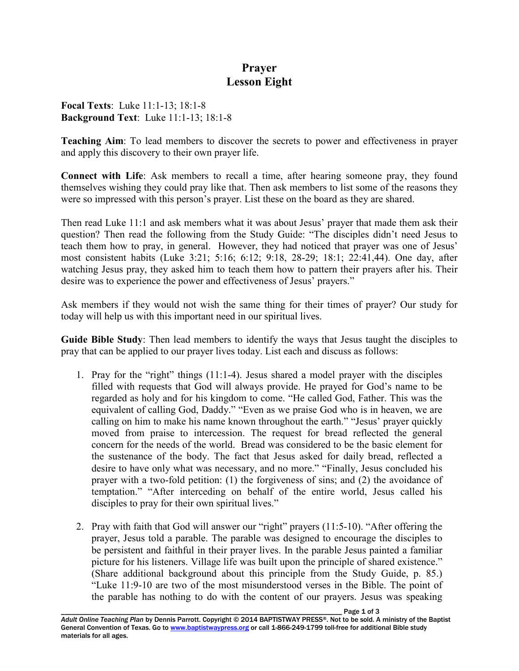## **Prayer Lesson Eight**

**Focal Texts**: Luke 11:1-13; 18:1-8 **Background Text**: Luke 11:1-13; 18:1-8

**Teaching Aim**: To lead members to discover the secrets to power and effectiveness in prayer and apply this discovery to their own prayer life.

**Connect with Life**: Ask members to recall a time, after hearing someone pray, they found themselves wishing they could pray like that. Then ask members to list some of the reasons they were so impressed with this person's prayer. List these on the board as they are shared.

Then read Luke 11:1 and ask members what it was about Jesus' prayer that made them ask their question? Then read the following from the Study Guide: "The disciples didn't need Jesus to teach them how to pray, in general. However, they had noticed that prayer was one of Jesus' most consistent habits (Luke 3:21; 5:16; 6:12; 9:18, 28-29; 18:1; 22:41,44). One day, after watching Jesus pray, they asked him to teach them how to pattern their prayers after his. Their desire was to experience the power and effectiveness of Jesus' prayers."

Ask members if they would not wish the same thing for their times of prayer? Our study for today will help us with this important need in our spiritual lives.

**Guide Bible Study**: Then lead members to identify the ways that Jesus taught the disciples to pray that can be applied to our prayer lives today. List each and discuss as follows:

- 1. Pray for the "right" things (11:1-4). Jesus shared a model prayer with the disciples filled with requests that God will always provide. He prayed for God's name to be regarded as holy and for his kingdom to come. "He called God, Father. This was the equivalent of calling God, Daddy." "Even as we praise God who is in heaven, we are calling on him to make his name known throughout the earth." "Jesus' prayer quickly moved from praise to intercession. The request for bread reflected the general concern for the needs of the world. Bread was considered to be the basic element for the sustenance of the body. The fact that Jesus asked for daily bread, reflected a desire to have only what was necessary, and no more." "Finally, Jesus concluded his prayer with a two-fold petition: (1) the forgiveness of sins; and (2) the avoidance of temptation." "After interceding on behalf of the entire world, Jesus called his disciples to pray for their own spiritual lives."
- 2. Pray with faith that God will answer our "right" prayers (11:5-10). "After offering the prayer, Jesus told a parable. The parable was designed to encourage the disciples to be persistent and faithful in their prayer lives. In the parable Jesus painted a familiar picture for his listeners. Village life was built upon the principle of shared existence." (Share additional background about this principle from the Study Guide, p. 85.) "Luke 11:9-10 are two of the most misunderstood verses in the Bible. The point of the parable has nothing to do with the content of our prayers. Jesus was speaking

Page 1 of 3 *Adult Online Teaching Plan* by Dennis Parrott. Copyright © 2014 BAPTISTWAY PRESS®. Not to be sold. A ministry of the Baptist General Convention of Texas. Go to www.baptistwaypress.org or call 1-866-249-1799 toll-free for additional Bible study materials for all ages.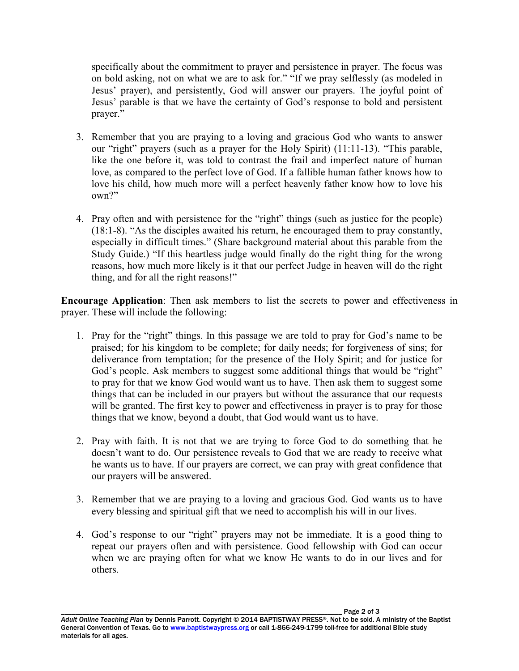specifically about the commitment to prayer and persistence in prayer. The focus was on bold asking, not on what we are to ask for." "If we pray selflessly (as modeled in Jesus' prayer), and persistently, God will answer our prayers. The joyful point of Jesus' parable is that we have the certainty of God's response to bold and persistent prayer."

- 3. Remember that you are praying to a loving and gracious God who wants to answer our "right" prayers (such as a prayer for the Holy Spirit) (11:11-13). "This parable, like the one before it, was told to contrast the frail and imperfect nature of human love, as compared to the perfect love of God. If a fallible human father knows how to love his child, how much more will a perfect heavenly father know how to love his own?"
- 4. Pray often and with persistence for the "right" things (such as justice for the people) (18:1-8). "As the disciples awaited his return, he encouraged them to pray constantly, especially in difficult times." (Share background material about this parable from the Study Guide.) "If this heartless judge would finally do the right thing for the wrong reasons, how much more likely is it that our perfect Judge in heaven will do the right thing, and for all the right reasons!"

**Encourage Application**: Then ask members to list the secrets to power and effectiveness in prayer. These will include the following:

- 1. Pray for the "right" things. In this passage we are told to pray for God's name to be praised; for his kingdom to be complete; for daily needs; for forgiveness of sins; for deliverance from temptation; for the presence of the Holy Spirit; and for justice for God's people. Ask members to suggest some additional things that would be "right" to pray for that we know God would want us to have. Then ask them to suggest some things that can be included in our prayers but without the assurance that our requests will be granted. The first key to power and effectiveness in prayer is to pray for those things that we know, beyond a doubt, that God would want us to have.
- 2. Pray with faith. It is not that we are trying to force God to do something that he doesn't want to do. Our persistence reveals to God that we are ready to receive what he wants us to have. If our prayers are correct, we can pray with great confidence that our prayers will be answered.
- 3. Remember that we are praying to a loving and gracious God. God wants us to have every blessing and spiritual gift that we need to accomplish his will in our lives.
- 4. God's response to our "right" prayers may not be immediate. It is a good thing to repeat our prayers often and with persistence. Good fellowship with God can occur when we are praying often for what we know He wants to do in our lives and for others.